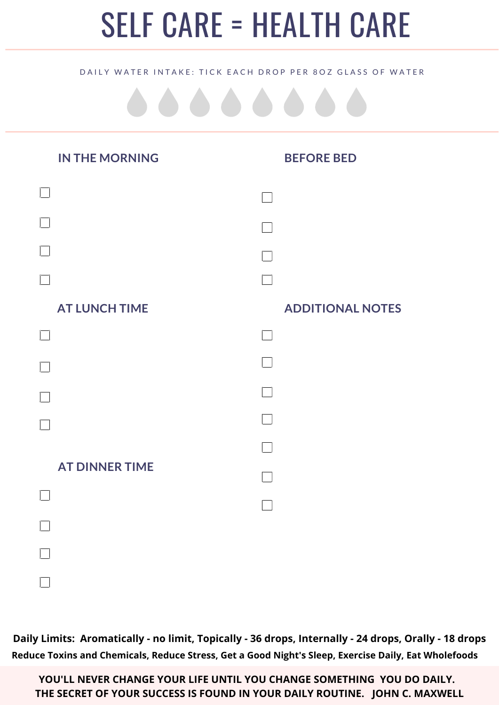## SELF CARE = HEALTH CARE

## DAILY WATER INTAKE: TICK EACH DROP PER 80Z GLASS OF WATER

| <b>IN THE MORNING</b> | <b>BEFORE BED</b>       |
|-----------------------|-------------------------|
|                       |                         |
|                       |                         |
|                       |                         |
|                       |                         |
| <b>AT LUNCH TIME</b>  | <b>ADDITIONAL NOTES</b> |
|                       |                         |
|                       |                         |
|                       |                         |
|                       |                         |
|                       |                         |
| <b>AT DINNER TIME</b> |                         |
|                       |                         |
|                       |                         |
|                       |                         |
|                       |                         |

**Daily Limits: Aromatically - no limit, Topically - 36 drops, Internally - 24 drops, Orally - 18 drops Reduce Toxins and Chemicals, Reduce Stress, Get a Good Night's Sleep, Exercise Daily, Eat Wholefoods**

**YOU'LL NEVER CHANGE YOUR LIFE UNTIL YOU CHANGE SOMETHING YOU DO DAILY. THE SECRET OF YOUR SUCCESS IS FOUND IN YOUR DAILY ROUTINE. JOHN C. MAXWELL**